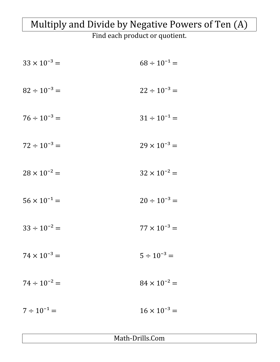## Multiply and Divide by Negative Powers of Ten (A)

Find each product or quotient.

| $33 \times 10^{-3} =$ | $68 \div 10^{-1} =$   |
|-----------------------|-----------------------|
| $82 \div 10^{-3} =$   | $22 \div 10^{-3} =$   |
| $76 \div 10^{-3} =$   | $31 \div 10^{-1} =$   |
| $72 \div 10^{-3} =$   | $29 \times 10^{-3} =$ |
| $28 \times 10^{-2} =$ | $32 \times 10^{-2} =$ |
| $56 \times 10^{-1} =$ | $20 \div 10^{-3} =$   |
| $33 \div 10^{-2} =$   | $77 \times 10^{-3} =$ |
| $74 \times 10^{-3} =$ | $5 \div 10^{-3} =$    |
| $74 \div 10^{-2} =$   | $84 \times 10^{-2} =$ |
| $7 \div 10^{-1} =$    | $16 \times 10^{-3} =$ |